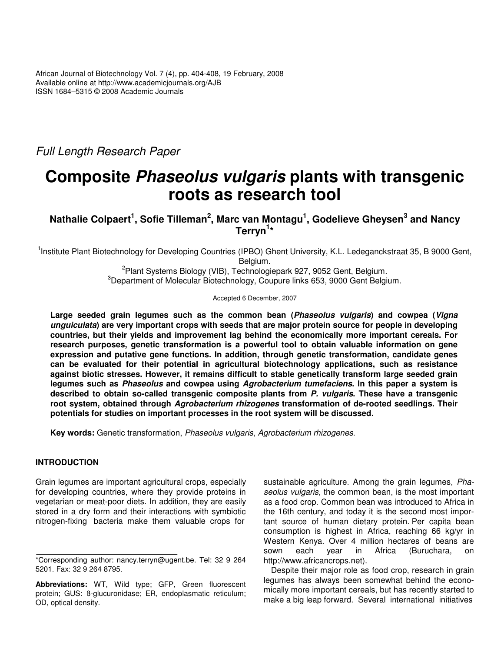*Full Length Research Paper*

# **Composite** *Phaseolus vulgaris* **plants with transgenic roots as research tool**

**Nathalie Colpaert 1 , Sofie Tilleman 2 , Marc van Montagu 1 , Godelieve Gheysen 3 and Nancy Terryn 1 \***

<sup>1</sup>Institute Plant Biotechnology for Developing Countries (IPBO) Ghent University, K.L. Ledeganckstraat 35, B 9000 Gent, Belgium.

> 2 Plant Systems Biology (VIB), Technologiepark 927, 9052 Gent, Belgium. <sup>3</sup>Department of Molecular Biotechnology, Coupure links 653, 9000 Gent Belgium.

> > Accepted 6 December, 2007

**Large seeded grain legumes such as the common bean (***Phaseolus vulgaris***) and cowpea (***Vigna unguiculata***) are very important crops with seeds that are major protein source for people in developing countries, but their yields and improvement lag behind the economically more important cereals. For research purposes, genetic transformation is a powerful tool to obtain valuable information on gene expression and putative gene functions. In addition, through genetic transformation, candidate genes can be evaluated for their potential in agricultural biotechnology applications, such as resistance against biotic stresses. However, it remains difficult to stable genetically transform large seeded grain legumes such as** *Phaseolus* **and cowpea using** *Agrobacterium tumefaciens***. In this paper a system is described to obtain so-called transgenic composite plants from** *P. vulgaris***. These have a transgenic root system, obtained through** *Agrobacterium rhizogenes* **transformation of de-rooted seedlings. Their potentials for studies on important processes in the root system will be discussed.**

**Key words:** Genetic transformation, *Phaseolus vulgaris*, *Agrobacterium rhizogenes*.

# **INTRODUCTION**

Grain legumes are important agricultural crops, especially for developing countries, where they provide proteins in vegetarian or meat-poor diets. In addition, they are easily stored in a dry form and their interactions with symbiotic nitrogen-fixing bacteria make them valuable crops for

sustainable agriculture. Among the grain legumes, *Phaseolus vulgaris*, the common bean, is the most important as a food crop. Common bean was introduced to Africa in the 16th century, and today it is the second most important source of human dietary protein. Per capita bean consumption is highest in Africa, reaching 66 kg/yr in Western Kenya. Over 4 million hectares of beans are sown each year in Africa (Buruchara, on http://www.africancrops.net).

Despite their major role as food crop, research in grain legumes has always been somewhat behind the economically more important cereals, but has recently started to make a big leap forward. Several international initiatives

<sup>\*</sup>Corresponding author: nancy.terryn@ugent.be. Tel: 32 9 264 5201. Fax: 32 9 264 8795.

**Abbreviations:** WT, Wild type; GFP, Green fluorescent protein; GUS: ß-glucuronidase; ER, endoplasmatic reticulum; OD, optical density.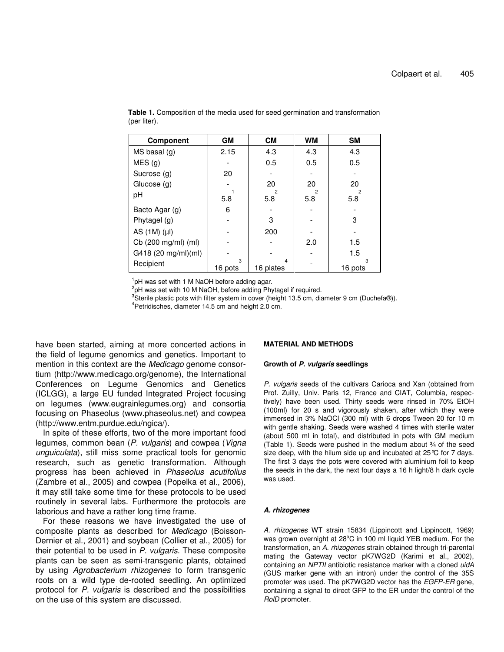| <b>Component</b>    | <b>GM</b>    | <b>CM</b>      | <b>WM</b> | <b>SM</b>             |
|---------------------|--------------|----------------|-----------|-----------------------|
| $MS$ basal $(g)$    | 2.15         | 4.3            | 4.3       | 4.3                   |
| MES(g)              |              | 0.5            | 0.5       | 0.5                   |
| Sucrose (g)         | 20           |                |           |                       |
| Glucose (g)         |              | 20             | 20        | 20                    |
| рH                  | 5.8          | 2<br>5.8       | 5.8       | $\overline{2}$<br>5.8 |
| Bacto Agar (g)      | 6            |                |           |                       |
| Phytagel (g)        |              | 3              |           | З                     |
| AS $(1M)$ $(\mu I)$ |              | 200            |           |                       |
| Cb (200 mg/ml) (ml) |              |                | 2.0       | 1.5                   |
| G418 (20 mg/ml)(ml) |              |                |           | 1.5                   |
| Recipient           | 3<br>16 pots | 4<br>16 plates |           | 16 pots               |

**Table 1.** Composition of the media used for seed germination and transformation (per liter).

<sup>1</sup>pH was set with 1 M NaOH before adding agar.

<sup>2</sup>pH was set with 10 M NaOH, before adding Phytagel if required.

 $3$ Sterile plastic pots with filter system in cover (height 13.5 cm, diameter 9 cm (Duchefa®)).

<sup>4</sup>Petridisches, diameter 14.5 cm and height 2.0 cm.

have been started, aiming at more concerted actions in the field of legume genomics and genetics. Important to mention in this context are the *Medicago* genome consortium (http://www.medicago.org/genome), the International Conferences on Legume Genomics and Genetics (ICLGG), a large EU funded Integrated Project focusing on legumes (www.eugrainlegumes.org) and consortia focusing on Phaseolus (www.phaseolus.net) and cowpea (http://www.entm.purdue.edu/ngica/).

In spite of these efforts, two of the more important food legumes, common bean (*P. vulgaris*) and cowpea (*Vigna unguiculata*), still miss some practical tools for genomic research, such as genetic transformation. Although progress has been achieved in *Phaseolus acutifolius* (Zambre et al., 2005) and cowpea (Popelka et al., 2006), it may still take some time for these protocols to be used routinely in several labs. Furthermore the protocols are laborious and have a rather long time frame.

For these reasons we have investigated the use of composite plants as described for *Medicago* (Boisson-Dernier et al., 2001) and soybean (Collier et al., 2005) for their potential to be used in *P. vulgaris*. These composite plants can be seen as semi-transgenic plants, obtained by using *Agrobacterium rhizogenes* to form transgenic roots on a wild type de-rooted seedling. An optimized protocol for *P. vulgaris* is described and the possibilities on the use of this system are discussed.

#### **MATERIAL AND METHODS**

#### **Growth of** *P. vulgaris* **seedlings**

*P. vulgaris* seeds of the cultivars Carioca and Xan (obtained from Prof. Zuilly, Univ. Paris 12, France and CIAT, Columbia, respectively) have been used. Thirty seeds were rinsed in 70% EtOH (100ml) for 20 s and vigorously shaken, after which they were immersed in 3% NaOCl (300 ml) with 6 drops Tween 20 for 10 m with gentle shaking. Seeds were washed 4 times with sterile water (about 500 ml in total), and distributed in pots with GM medium (Table 1). Seeds were pushed in the medium about ¾ of the seed size deep, with the hilum side up and incubated at 25°C for 7 days. The first 3 days the pots were covered with aluminium foil to keep the seeds in the dark, the next four days a 16 h light/8 h dark cycle was used.

#### *A. rhizogenes*

*A. rhizogenes* WT strain 15834 (Lippincott and Lippincott, 1969) was grown overnight at 28°C in 100 ml liquid YEB medium. For the transformation, an *A. rhizogenes* strain obtained through tri-parental mating the Gateway vector pK7WG2D (Karimi et al., 2002), containing an *NPTII* antibiotic resistance marker with a cloned *uidA* (GUS marker gene with an intron) under the control of the 35S promoter was used. The pK7WG2D vector has the *EGFP-ER* gene, containing a signal to direct GFP to the ER under the control of the *RolD* promoter.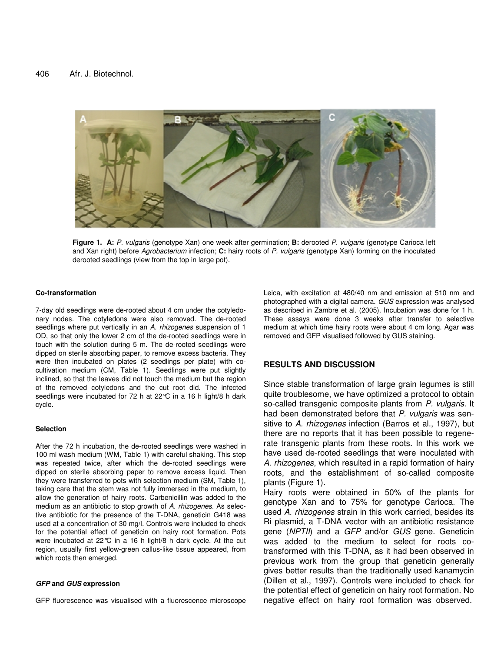

**Figure 1. A:** *P. vulgaris* (genotype Xan) one week after germination; **B:** derooted *P. vulgaris* (genotype Carioca left and Xan right) before *Agrobacterium* infection; **C:** hairy roots of *P. vulgaris* (genotype Xan) forming on the inoculated derooted seedlings (view from the top in large pot).

#### **Co-transformation**

7-day old seedlings were de-rooted about 4 cm under the cotyledonary nodes. The cotyledons were also removed. The de-rooted seedlings where put vertically in an *A. rhizogenes* suspension of 1 OD, so that only the lower 2 cm of the de-rooted seedlings were in touch with the solution during 5 m. The de-rooted seedlings were dipped on sterile absorbing paper, to remove excess bacteria. They were then incubated on plates (2 seedlings per plate) with cocultivation medium (CM, Table 1). Seedlings were put slightly inclined, so that the leaves did not touch the medium but the region of the removed cotyledons and the cut root did. The infected seedlings were incubated for 72 h at 22°C in a 16 h light/8 h dark cycle.

#### **Selection**

After the 72 h incubation, the de-rooted seedlings were washed in 100 ml wash medium (WM, Table 1) with careful shaking. This step was repeated twice, after which the de-rooted seedlings were dipped on sterile absorbing paper to remove excess liquid. Then they were transferred to pots with selection medium (SM, Table 1), taking care that the stem was not fully immersed in the medium, to allow the generation of hairy roots. Carbenicillin was added to the medium as an antibiotic to stop growth of *A. rhizogenes*. As selective antibiotic for the presence of the T-DNA, geneticin G418 was used at a concentration of 30 mg/l. Controls were included to check for the potential effect of geneticin on hairy root formation. Pots were incubated at 22°C in a 16 h light/8 h dark cycle. At the cut region, usually first yellow-green callus-like tissue appeared, from which roots then emerged.

#### *GFP* **and** *GUS* **expression**

GFP fluorescence was visualised with a fluorescence microscope

Leica, with excitation at 480/40 nm and emission at 510 nm and photographed with a digital camera. *GUS* expression was analysed as described in Zambre et al. (2005). Incubation was done for 1 h. These assays were done 3 weeks after transfer to selective medium at which time hairy roots were about 4 cm long. Agar was removed and GFP visualised followed by GUS staining.

## **RESULTS AND DISCUSSION**

Since stable transformation of large grain legumes is still quite troublesome, we have optimized a protocol to obtain so-called transgenic composite plants from *P. vulgaris*. It had been demonstrated before that *P. vulgaris* was sensitive to *A. rhizogenes* infection (Barros et al., 1997), but there are no reports that it has been possible to regenerate transgenic plants from these roots. In this work we have used de-rooted seedlings that were inoculated with *A. rhizogenes*, which resulted in a rapid formation of hairy roots, and the establishment of so-called composite plants (Figure 1).

Hairy roots were obtained in 50% of the plants for genotype Xan and to 75% for genotype Carioca. The used *A. rhizogenes* strain in this work carried, besides its Ri plasmid, a T-DNA vector with an antibiotic resistance gene (*NPTII*) and a *GFP* and/or *GUS* gene. Geneticin was added to the medium to select for roots cotransformed with this T-DNA, as it had been observed in previous work from the group that geneticin generally gives better results than the traditionally used kanamycin (Dillen et al., 1997). Controls were included to check for the potential effect of geneticin on hairy root formation. No negative effect on hairy root formation was observed.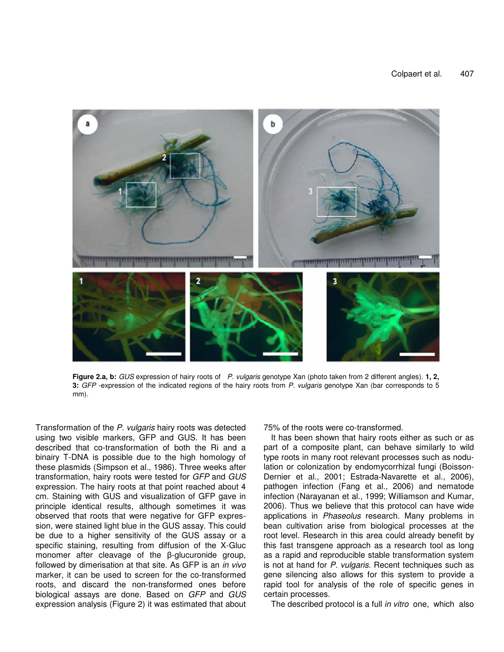

**Figure 2.a, b:** *GUS* expression of hairy roots of *P. vulgaris* genotype Xan (photo taken from 2 different angles). **1, 2, 3:** *GFP* -expression of the indicated regions of the hairy roots from *P. vulgaris* genotype Xan (bar corresponds to 5 mm).

Transformation of the *P. vulgaris* hairy roots was detected using two visible markers, GFP and GUS. It has been described that co-transformation of both the Ri and a binairy T-DNA is possible due to the high homology of these plasmids (Simpson et al., 1986). Three weeks after transformation, hairy roots were tested for *GFP* and *GUS* expression. The hairy roots at that point reached about 4 cm. Staining with GUS and visualization of GFP gave in principle identical results, although sometimes it was observed that roots that were negative for GFP expression, were stained light blue in the GUS assay. This could be due to a higher sensitivity of the GUS assay or a specific staining, resulting from diffusion of the X-Gluc monomer after cleavage of the  $\beta$ -glucuronide group, followed by dimerisation at that site. As GFP is an *in vivo* marker, it can be used to screen for the co-transformed roots, and discard the non-transformed ones before biological assays are done. Based on *GFP* and *GUS* expression analysis (Figure 2) it was estimated that about

75% of the roots were co-transformed.

It has been shown that hairy roots either as such or as part of a composite plant, can behave similarly to wild type roots in many root relevant processes such as nodulation or colonization by endomycorrhizal fungi (Boisson-Dernier et al., 2001; Estrada-Navarette et al., 2006), pathogen infection (Fang et al., 2006) and nematode infection (Narayanan et al., 1999; Williamson and Kumar, 2006). Thus we believe that this protocol can have wide applications in *Phaseolus* research. Many problems in bean cultivation arise from biological processes at the root level. Research in this area could already benefit by this fast transgene approach as a research tool as long as a rapid and reproducible stable transformation system is not at hand for *P. vulgaris*. Recent techniques such as gene silencing also allows for this system to provide a rapid tool for analysis of the role of specific genes in certain processes.

The described protocol is a full *in vitro* one, which also